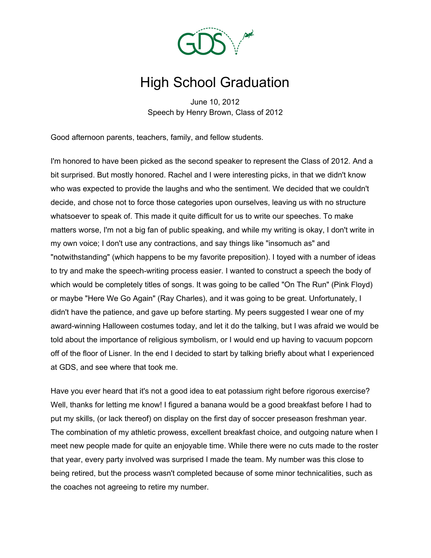

## High School Graduation

June 10, 2012 Speech by Henry Brown, Class of 2012

Good afternoon parents, teachers, family, and fellow students.

I'm honored to have been picked as the second speaker to represent the Class of 2012. And a bit surprised. But mostly honored. Rachel and I were interesting picks, in that we didn't know who was expected to provide the laughs and who the sentiment. We decided that we couldn't decide, and chose not to force those categories upon ourselves, leaving us with no structure whatsoever to speak of. This made it quite difficult for us to write our speeches. To make matters worse, I'm not a big fan of public speaking, and while my writing is okay, I don't write in my own voice; I don't use any contractions, and say things like "insomuch as" and "notwithstanding" (which happens to be my favorite preposition). I toyed with a number of ideas to try and make the speech-writing process easier. I wanted to construct a speech the body of which would be completely titles of songs. It was going to be called "On The Run" (Pink Floyd) or maybe "Here We Go Again" (Ray Charles), and it was going to be great. Unfortunately, I didn't have the patience, and gave up before starting. My peers suggested I wear one of my award-winning Halloween costumes today, and let it do the talking, but I was afraid we would be told about the importance of religious symbolism, or I would end up having to vacuum popcorn off of the floor of Lisner. In the end I decided to start by talking briefly about what I experienced at GDS, and see where that took me.

Have you ever heard that it's not a good idea to eat potassium right before rigorous exercise? Well, thanks for letting me know! I figured a banana would be a good breakfast before I had to put my skills, (or lack thereof) on display on the first day of soccer preseason freshman year. The combination of my athletic prowess, excellent breakfast choice, and outgoing nature when I meet new people made for quite an enjoyable time. While there were no cuts made to the roster that year, every party involved was surprised I made the team. My number was this close to being retired, but the process wasn't completed because of some minor technicalities, such as the coaches not agreeing to retire my number.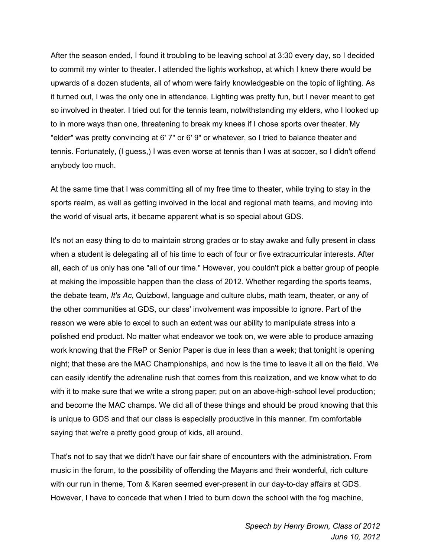After the season ended, I found it troubling to be leaving school at 3:30 every day, so I decided to commit my winter to theater. I attended the lights workshop, at which I knew there would be upwards of a dozen students, all of whom were fairly knowledgeable on the topic of lighting. As it turned out, I was the only one in attendance. Lighting was pretty fun, but I never meant to get so involved in theater. I tried out for the tennis team, notwithstanding my elders, who I looked up to in more ways than one, threatening to break my knees if I chose sports over theater. My "elder" was pretty convincing at 6' 7" or 6' 9" or whatever, so I tried to balance theater and tennis. Fortunately, (I guess,) I was even worse at tennis than I was at soccer, so I didn't offend anybody too much.

At the same time that I was committing all of my free time to theater, while trying to stay in the sports realm, as well as getting involved in the local and regional math teams, and moving into the world of visual arts, it became apparent what is so special about GDS.

It's not an easy thing to do to maintain strong grades or to stay awake and fully present in class when a student is delegating all of his time to each of four or five extracurricular interests. After all, each of us only has one "all of our time." However, you couldn't pick a better group of people at making the impossible happen than the class of 2012. Whether regarding the sports teams, the debate team, *It's Ac*, Quizbowl, language and culture clubs, math team, theater, or any of the other communities at GDS, our class' involvement was impossible to ignore. Part of the reason we were able to excel to such an extent was our ability to manipulate stress into a polished end product. No matter what endeavor we took on, we were able to produce amazing work knowing that the FReP or Senior Paper is due in less than a week; that tonight is opening night; that these are the MAC Championships, and now is the time to leave it all on the field. We can easily identify the adrenaline rush that comes from this realization, and we know what to do with it to make sure that we write a strong paper; put on an above-high-school level production; and become the MAC champs. We did all of these things and should be proud knowing that this is unique to GDS and that our class is especially productive in this manner. I'm comfortable saying that we're a pretty good group of kids, all around.

That's not to say that we didn't have our fair share of encounters with the administration. From music in the forum, to the possibility of offending the Mayans and their wonderful, rich culture with our run in theme, Tom & Karen seemed ever-present in our day-to-day affairs at GDS. However, I have to concede that when I tried to burn down the school with the fog machine,